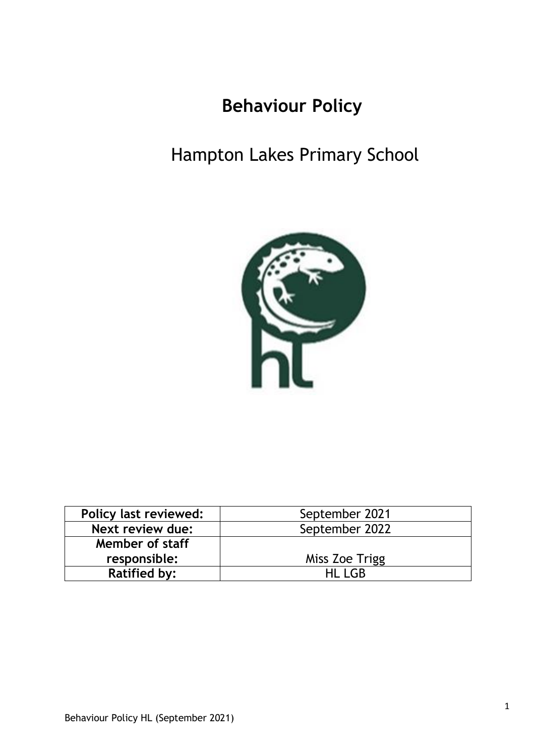# **Behaviour Policy**

# Hampton Lakes Primary School



| <b>Policy last reviewed:</b> | September 2021 |  |  |
|------------------------------|----------------|--|--|
| Next review due:             | September 2022 |  |  |
| Member of staff              |                |  |  |
| responsible:                 | Miss Zoe Trigg |  |  |
| <b>Ratified by:</b>          | HI I GR        |  |  |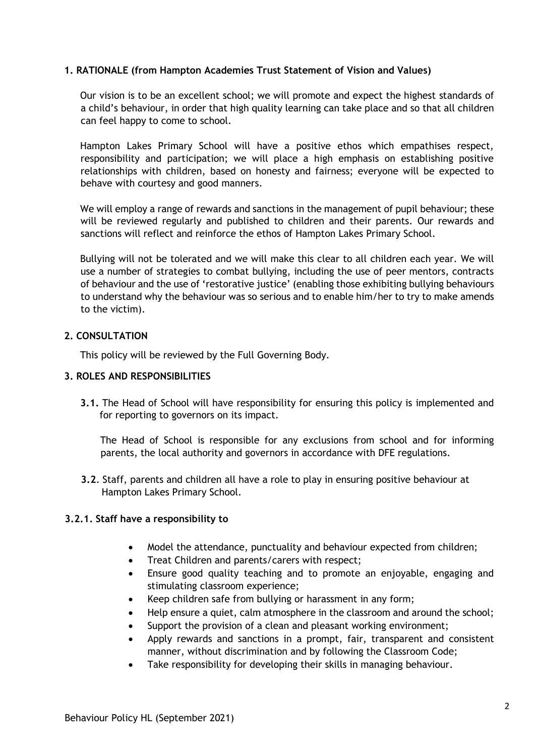## **1. RATIONALE (from Hampton Academies Trust Statement of Vision and Values)**

Our vision is to be an excellent school; we will promote and expect the highest standards of a child's behaviour, in order that high quality learning can take place and so that all children can feel happy to come to school.

Hampton Lakes Primary School will have a positive ethos which empathises respect, responsibility and participation; we will place a high emphasis on establishing positive relationships with children, based on honesty and fairness; everyone will be expected to behave with courtesy and good manners.

We will employ a range of rewards and sanctions in the management of pupil behaviour; these will be reviewed regularly and published to children and their parents. Our rewards and sanctions will reflect and reinforce the ethos of Hampton Lakes Primary School.

Bullying will not be tolerated and we will make this clear to all children each year. We will use a number of strategies to combat bullying, including the use of peer mentors, contracts of behaviour and the use of 'restorative justice' (enabling those exhibiting bullying behaviours to understand why the behaviour was so serious and to enable him/her to try to make amends to the victim).

## **2. CONSULTATION**

This policy will be reviewed by the Full Governing Body.

## **3. ROLES AND RESPONSIBILITIES**

**3.1.** The Head of School will have responsibility for ensuring this policy is implemented and for reporting to governors on its impact.

The Head of School is responsible for any exclusions from school and for informing parents, the local authority and governors in accordance with DFE regulations.

**3.2**. Staff, parents and children all have a role to play in ensuring positive behaviour at Hampton Lakes Primary School.

### **3.2.1. Staff have a responsibility to**

- Model the attendance, punctuality and behaviour expected from children;
- Treat Children and parents/carers with respect;
- Ensure good quality teaching and to promote an enjoyable, engaging and stimulating classroom experience;
- Keep children safe from bullying or harassment in any form;
- Help ensure a quiet, calm atmosphere in the classroom and around the school;
- Support the provision of a clean and pleasant working environment;
- Apply rewards and sanctions in a prompt, fair, transparent and consistent manner, without discrimination and by following the Classroom Code;
- Take responsibility for developing their skills in managing behaviour.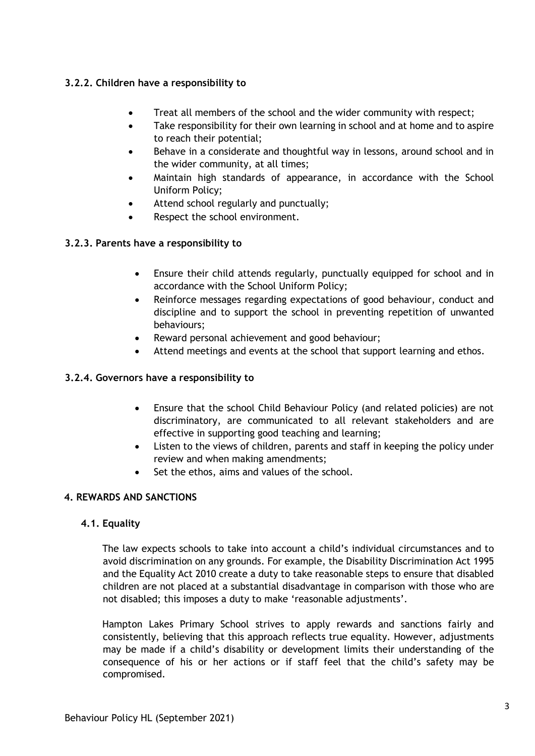# **3.2.2. Children have a responsibility to**

- Treat all members of the school and the wider community with respect;
- Take responsibility for their own learning in school and at home and to aspire to reach their potential;
- Behave in a considerate and thoughtful way in lessons, around school and in the wider community, at all times;
- Maintain high standards of appearance, in accordance with the School Uniform Policy;
- Attend school regularly and punctually;
- Respect the school environment.

## **3.2.3. Parents have a responsibility to**

- Ensure their child attends regularly, punctually equipped for school and in accordance with the School Uniform Policy;
- Reinforce messages regarding expectations of good behaviour, conduct and discipline and to support the school in preventing repetition of unwanted behaviours;
- Reward personal achievement and good behaviour;
- Attend meetings and events at the school that support learning and ethos.

## **3.2.4. Governors have a responsibility to**

- Ensure that the school Child Behaviour Policy (and related policies) are not discriminatory, are communicated to all relevant stakeholders and are effective in supporting good teaching and learning;
- Listen to the views of children, parents and staff in keeping the policy under review and when making amendments;
- Set the ethos, aims and values of the school.

## **4. REWARDS AND SANCTIONS**

## **4.1. Equality**

The law expects schools to take into account a child's individual circumstances and to avoid discrimination on any grounds. For example, the Disability Discrimination Act 1995 and the Equality Act 2010 create a duty to take reasonable steps to ensure that disabled children are not placed at a substantial disadvantage in comparison with those who are not disabled; this imposes a duty to make 'reasonable adjustments'.

Hampton Lakes Primary School strives to apply rewards and sanctions fairly and consistently, believing that this approach reflects true equality. However, adjustments may be made if a child's disability or development limits their understanding of the consequence of his or her actions or if staff feel that the child's safety may be compromised.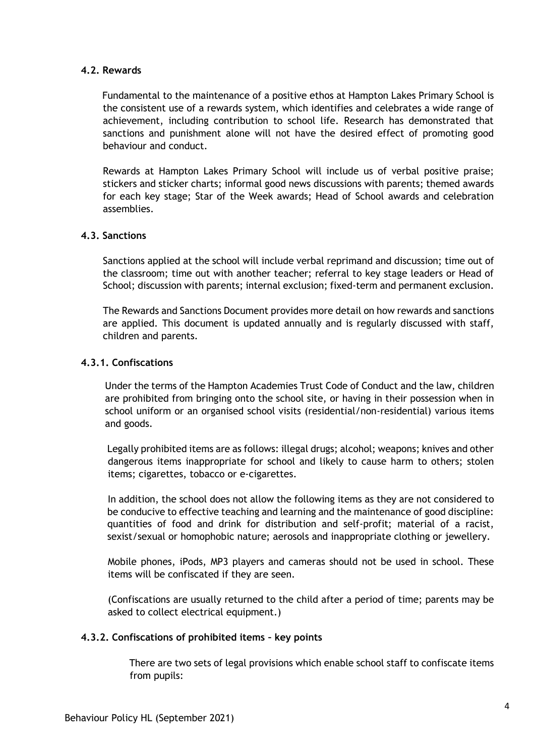### **4.2. Rewards**

Fundamental to the maintenance of a positive ethos at Hampton Lakes Primary School is the consistent use of a rewards system, which identifies and celebrates a wide range of achievement, including contribution to school life. Research has demonstrated that sanctions and punishment alone will not have the desired effect of promoting good behaviour and conduct.

Rewards at Hampton Lakes Primary School will include us of verbal positive praise; stickers and sticker charts; informal good news discussions with parents; themed awards for each key stage; Star of the Week awards; Head of School awards and celebration assemblies.

### **4.3. Sanctions**

Sanctions applied at the school will include verbal reprimand and discussion; time out of the classroom; time out with another teacher; referral to key stage leaders or Head of School; discussion with parents; internal exclusion; fixed-term and permanent exclusion.

The Rewards and Sanctions Document provides more detail on how rewards and sanctions are applied. This document is updated annually and is regularly discussed with staff, children and parents.

#### **4.3.1. Confiscations**

Under the terms of the Hampton Academies Trust Code of Conduct and the law, children are prohibited from bringing onto the school site, or having in their possession when in school uniform or an organised school visits (residential/non-residential) various items and goods.

Legally prohibited items are as follows: illegal drugs; alcohol; weapons; knives and other dangerous items inappropriate for school and likely to cause harm to others; stolen items; cigarettes, tobacco or e-cigarettes.

In addition, the school does not allow the following items as they are not considered to be conducive to effective teaching and learning and the maintenance of good discipline: quantities of food and drink for distribution and self-profit; material of a racist, sexist/sexual or homophobic nature; aerosols and inappropriate clothing or jewellery.

Mobile phones, iPods, MP3 players and cameras should not be used in school. These items will be confiscated if they are seen.

(Confiscations are usually returned to the child after a period of time; parents may be asked to collect electrical equipment.)

#### **4.3.2. Confiscations of prohibited items – key points**

There are two sets of legal provisions which enable school staff to confiscate items from pupils: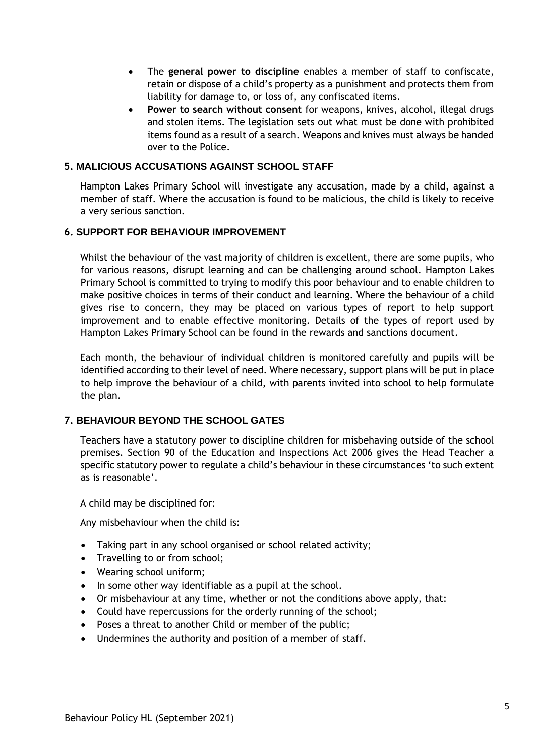- The **general power to discipline** enables a member of staff to confiscate, retain or dispose of a child's property as a punishment and protects them from liability for damage to, or loss of, any confiscated items.
- **Power to search without consent** for weapons, knives, alcohol, illegal drugs and stolen items. The legislation sets out what must be done with prohibited items found as a result of a search. Weapons and knives must always be handed over to the Police.

## **5. MALICIOUS ACCUSATIONS AGAINST SCHOOL STAFF**

Hampton Lakes Primary School will investigate any accusation, made by a child, against a member of staff. Where the accusation is found to be malicious, the child is likely to receive a very serious sanction.

### **6. SUPPORT FOR BEHAVIOUR IMPROVEMENT**

Whilst the behaviour of the vast majority of children is excellent, there are some pupils, who for various reasons, disrupt learning and can be challenging around school. Hampton Lakes Primary School is committed to trying to modify this poor behaviour and to enable children to make positive choices in terms of their conduct and learning. Where the behaviour of a child gives rise to concern, they may be placed on various types of report to help support improvement and to enable effective monitoring. Details of the types of report used by Hampton Lakes Primary School can be found in the rewards and sanctions document.

Each month, the behaviour of individual children is monitored carefully and pupils will be identified according to their level of need. Where necessary, support plans will be put in place to help improve the behaviour of a child, with parents invited into school to help formulate the plan.

### **7. BEHAVIOUR BEYOND THE SCHOOL GATES**

Teachers have a statutory power to discipline children for misbehaving outside of the school premises. Section 90 of the Education and Inspections Act 2006 gives the Head Teacher a specific statutory power to regulate a child's behaviour in these circumstances 'to such extent as is reasonable'.

A child may be disciplined for:

Any misbehaviour when the child is:

- Taking part in any school organised or school related activity;
- Travelling to or from school;
- Wearing school uniform;
- In some other way identifiable as a pupil at the school.
- Or misbehaviour at any time, whether or not the conditions above apply, that:
- Could have repercussions for the orderly running of the school;
- Poses a threat to another Child or member of the public;
- Undermines the authority and position of a member of staff.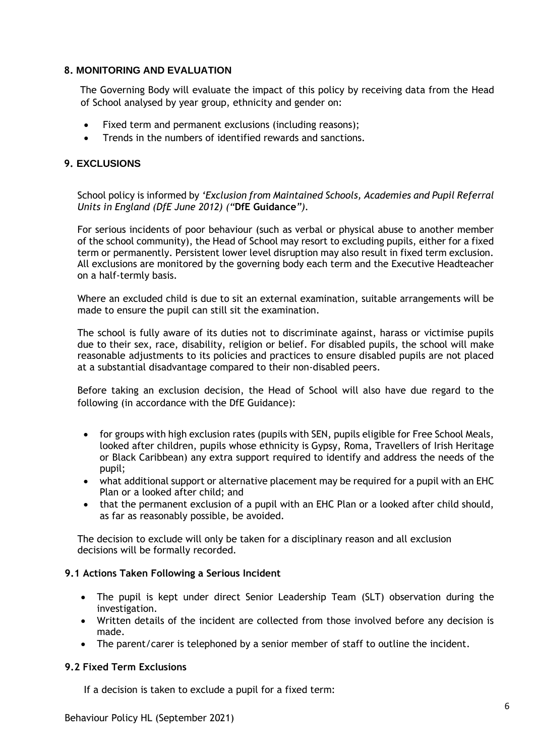#### **8. MONITORING AND EVALUATION**

The Governing Body will evaluate the impact of this policy by receiving data from the Head of School analysed by year group, ethnicity and gender on:

- Fixed term and permanent exclusions (including reasons);
- Trends in the numbers of identified rewards and sanctions.

## **9. EXCLUSIONS**

School policy is informed by *'Exclusion from Maintained Schools, Academies and Pupil Referral Units in England (DfE June 2012) ("***DfE Guidance***").* 

For serious incidents of poor behaviour (such as verbal or physical abuse to another member of the school community), the Head of School may resort to excluding pupils, either for a fixed term or permanently. Persistent lower level disruption may also result in fixed term exclusion. All exclusions are monitored by the governing body each term and the Executive Headteacher on a half-termly basis.

Where an excluded child is due to sit an external examination, suitable arrangements will be made to ensure the pupil can still sit the examination.

The school is fully aware of its duties not to discriminate against, harass or victimise pupils due to their sex, race, disability, religion or belief. For disabled pupils, the school will make reasonable adjustments to its policies and practices to ensure disabled pupils are not placed at a substantial disadvantage compared to their non-disabled peers.

Before taking an exclusion decision, the Head of School will also have due regard to the following (in accordance with the DfE Guidance):

- for groups with high exclusion rates (pupils with SEN, pupils eligible for Free School Meals, looked after children, pupils whose ethnicity is Gypsy, Roma, Travellers of Irish Heritage or Black Caribbean) any extra support required to identify and address the needs of the pupil;
- what additional support or alternative placement may be required for a pupil with an EHC Plan or a looked after child; and
- that the permanent exclusion of a pupil with an EHC Plan or a looked after child should, as far as reasonably possible, be avoided.

The decision to exclude will only be taken for a disciplinary reason and all exclusion decisions will be formally recorded.

### **9.1 Actions Taken Following a Serious Incident**

- The pupil is kept under direct Senior Leadership Team (SLT) observation during the investigation.
- Written details of the incident are collected from those involved before any decision is made.
- The parent/carer is telephoned by a senior member of staff to outline the incident.

### **9.2 Fixed Term Exclusions**

If a decision is taken to exclude a pupil for a fixed term: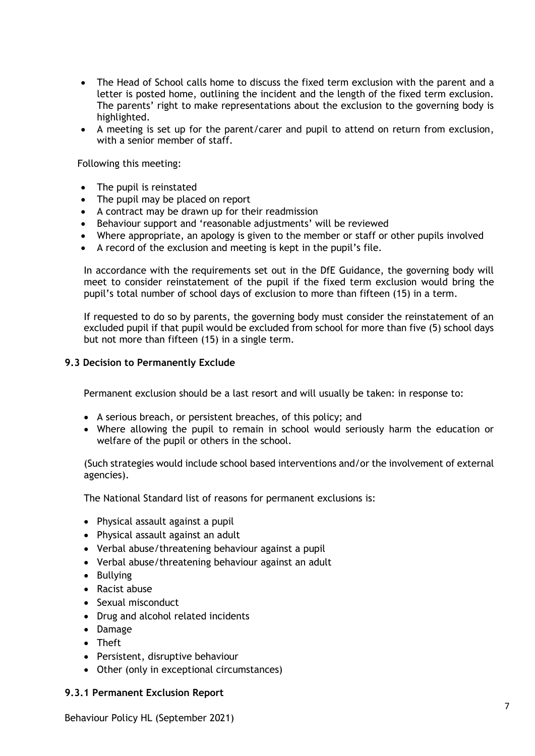- The Head of School calls home to discuss the fixed term exclusion with the parent and a letter is posted home, outlining the incident and the length of the fixed term exclusion. The parents' right to make representations about the exclusion to the governing body is highlighted.
- A meeting is set up for the parent/carer and pupil to attend on return from exclusion, with a senior member of staff.

Following this meeting:

- The pupil is reinstated
- The pupil may be placed on report
- A contract may be drawn up for their readmission
- Behaviour support and 'reasonable adjustments' will be reviewed
- Where appropriate, an apology is given to the member or staff or other pupils involved
- A record of the exclusion and meeting is kept in the pupil's file.

In accordance with the requirements set out in the DfE Guidance, the governing body will meet to consider reinstatement of the pupil if the fixed term exclusion would bring the pupil's total number of school days of exclusion to more than fifteen (15) in a term.

If requested to do so by parents, the governing body must consider the reinstatement of an excluded pupil if that pupil would be excluded from school for more than five (5) school days but not more than fifteen (15) in a single term.

#### **9.3 Decision to Permanently Exclude**

Permanent exclusion should be a last resort and will usually be taken: in response to:

- A serious breach, or persistent breaches, of this policy; and
- Where allowing the pupil to remain in school would seriously harm the education or welfare of the pupil or others in the school.

(Such strategies would include school based interventions and/or the involvement of external agencies).

The National Standard list of reasons for permanent exclusions is:

- Physical assault against a pupil
- Physical assault against an adult
- Verbal abuse/threatening behaviour against a pupil
- Verbal abuse/threatening behaviour against an adult
- Bullying
- Racist abuse
- Sexual misconduct
- Drug and alcohol related incidents
- Damage
- Theft
- Persistent, disruptive behaviour
- Other (only in exceptional circumstances)

#### **9.3.1 Permanent Exclusion Report**

Behaviour Policy HL (September 2021)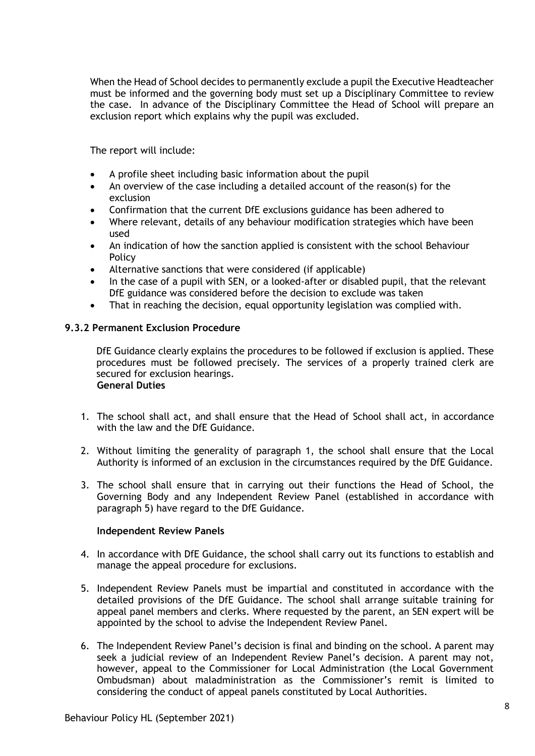When the Head of School decides to permanently exclude a pupil the Executive Headteacher must be informed and the governing body must set up a Disciplinary Committee to review the case. In advance of the Disciplinary Committee the Head of School will prepare an exclusion report which explains why the pupil was excluded.

The report will include:

- A profile sheet including basic information about the pupil
- An overview of the case including a detailed account of the reason(s) for the exclusion
- Confirmation that the current DfE exclusions guidance has been adhered to
- Where relevant, details of any behaviour modification strategies which have been used
- An indication of how the sanction applied is consistent with the school Behaviour Policy
- Alternative sanctions that were considered (if applicable)
- In the case of a pupil with SEN, or a looked-after or disabled pupil, that the relevant DfE guidance was considered before the decision to exclude was taken
- That in reaching the decision, equal opportunity legislation was complied with.

### **9.3.2 Permanent Exclusion Procedure**

DfE Guidance clearly explains the procedures to be followed if exclusion is applied. These procedures must be followed precisely. The services of a properly trained clerk are secured for exclusion hearings. **General Duties** 

- 1. The school shall act, and shall ensure that the Head of School shall act, in accordance with the law and the DfE Guidance.
- 2. Without limiting the generality of paragraph 1, the school shall ensure that the Local Authority is informed of an exclusion in the circumstances required by the DfE Guidance.
- 3. The school shall ensure that in carrying out their functions the Head of School, the Governing Body and any Independent Review Panel (established in accordance with paragraph 5) have regard to the DfE Guidance.

### **Independent Review Panels**

- 4. In accordance with DfE Guidance, the school shall carry out its functions to establish and manage the appeal procedure for exclusions.
- 5. Independent Review Panels must be impartial and constituted in accordance with the detailed provisions of the DfE Guidance. The school shall arrange suitable training for appeal panel members and clerks. Where requested by the parent, an SEN expert will be appointed by the school to advise the Independent Review Panel.
- 6. The Independent Review Panel's decision is final and binding on the school. A parent may seek a judicial review of an Independent Review Panel's decision. A parent may not, however, appeal to the Commissioner for Local Administration (the Local Government Ombudsman) about maladministration as the Commissioner's remit is limited to considering the conduct of appeal panels constituted by Local Authorities.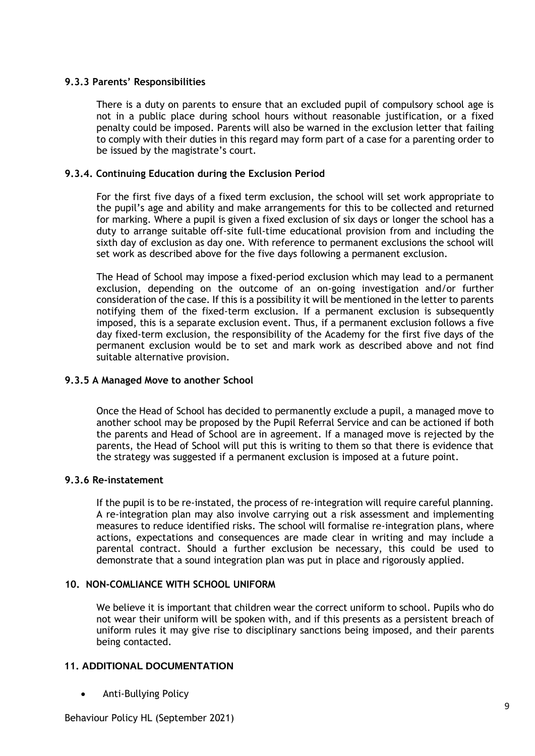## **9.3.3 Parents' Responsibilities**

There is a duty on parents to ensure that an excluded pupil of compulsory school age is not in a public place during school hours without reasonable justification, or a fixed penalty could be imposed. Parents will also be warned in the exclusion letter that failing to comply with their duties in this regard may form part of a case for a parenting order to be issued by the magistrate's court.

## **9.3.4. Continuing Education during the Exclusion Period**

For the first five days of a fixed term exclusion, the school will set work appropriate to the pupil's age and ability and make arrangements for this to be collected and returned for marking. Where a pupil is given a fixed exclusion of six days or longer the school has a duty to arrange suitable off-site full-time educational provision from and including the sixth day of exclusion as day one. With reference to permanent exclusions the school will set work as described above for the five days following a permanent exclusion.

The Head of School may impose a fixed-period exclusion which may lead to a permanent exclusion, depending on the outcome of an on-going investigation and/or further consideration of the case. If this is a possibility it will be mentioned in the letter to parents notifying them of the fixed-term exclusion. If a permanent exclusion is subsequently imposed, this is a separate exclusion event. Thus, if a permanent exclusion follows a five day fixed-term exclusion, the responsibility of the Academy for the first five days of the permanent exclusion would be to set and mark work as described above and not find suitable alternative provision.

## **9.3.5 A Managed Move to another School**

Once the Head of School has decided to permanently exclude a pupil, a managed move to another school may be proposed by the Pupil Referral Service and can be actioned if both the parents and Head of School are in agreement. If a managed move is rejected by the parents, the Head of School will put this is writing to them so that there is evidence that the strategy was suggested if a permanent exclusion is imposed at a future point.

### **9.3.6 Re-instatement**

If the pupil is to be re-instated, the process of re-integration will require careful planning. A re-integration plan may also involve carrying out a risk assessment and implementing measures to reduce identified risks. The school will formalise re-integration plans, where actions, expectations and consequences are made clear in writing and may include a parental contract. Should a further exclusion be necessary, this could be used to demonstrate that a sound integration plan was put in place and rigorously applied.

## **10. NON-COMLIANCE WITH SCHOOL UNIFORM**

We believe it is important that children wear the correct uniform to school. Pupils who do not wear their uniform will be spoken with, and if this presents as a persistent breach of uniform rules it may give rise to disciplinary sanctions being imposed, and their parents being contacted.

## **11. ADDITIONAL DOCUMENTATION**

• Anti-Bullying Policy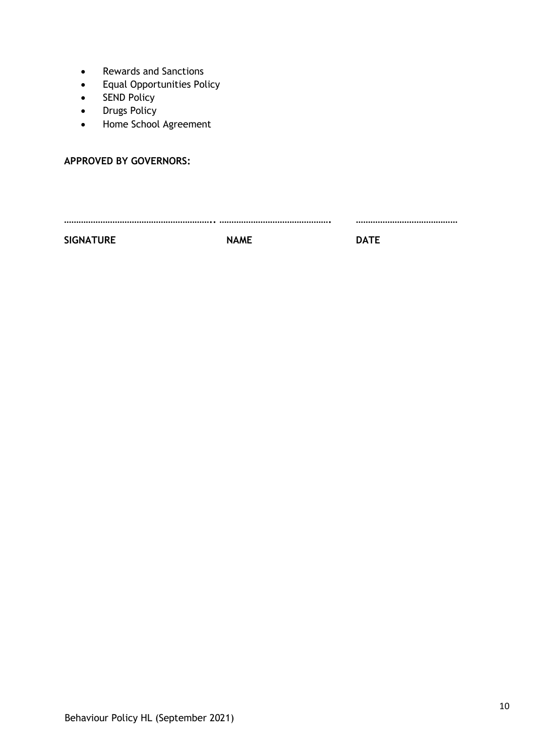- Rewards and Sanctions
- Equal Opportunities Policy
- SEND Policy
- Drugs Policy
- Home School Agreement

## **APPROVED BY GOVERNORS:**

**…………………………………………………….. ………………………………………. ……………………………………** 

SIGNATURE NAME DATE